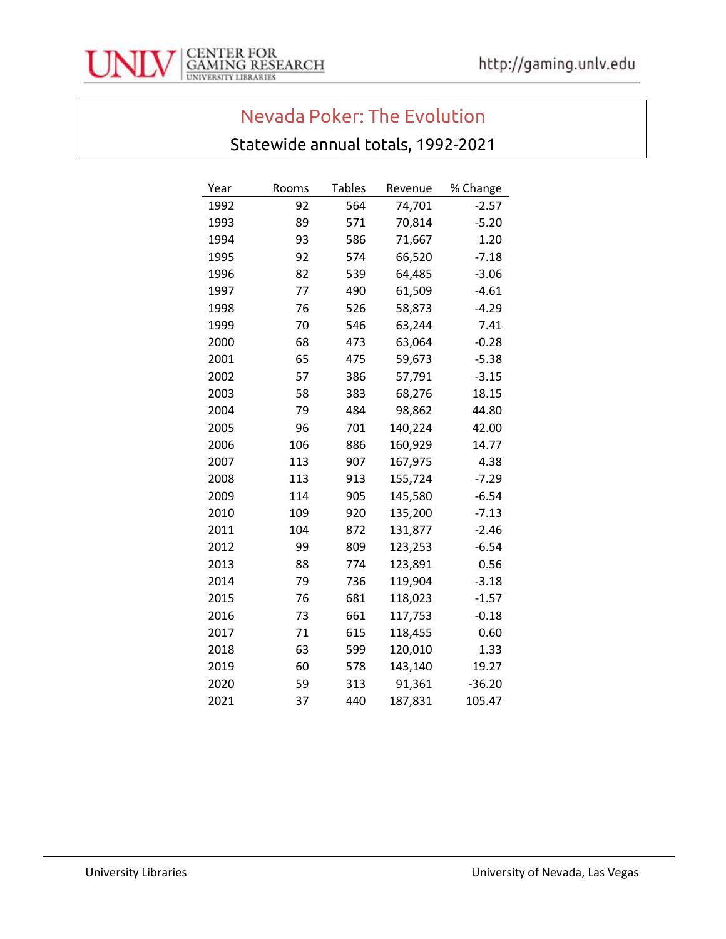

## Nevada Poker: The Evolution

## Statewide annual totals, 1992-2021

| Year | Rooms | <b>Tables</b> | Revenue | % Change |
|------|-------|---------------|---------|----------|
| 1992 | 92    | 564           | 74,701  | $-2.57$  |
| 1993 | 89    | 571           | 70,814  | $-5.20$  |
| 1994 | 93    | 586           | 71,667  | 1.20     |
| 1995 | 92    | 574           | 66,520  | $-7.18$  |
| 1996 | 82    | 539           | 64,485  | $-3.06$  |
| 1997 | 77    | 490           | 61,509  | $-4.61$  |
| 1998 | 76    | 526           | 58,873  | -4.29    |
| 1999 | 70    | 546           | 63,244  | 7.41     |
| 2000 | 68    | 473           | 63,064  | $-0.28$  |
| 2001 | 65    | 475           | 59,673  | $-5.38$  |
| 2002 | 57    | 386           | 57,791  | $-3.15$  |
| 2003 | 58    | 383           | 68,276  | 18.15    |
| 2004 | 79    | 484           | 98,862  | 44.80    |
| 2005 | 96    | 701           | 140,224 | 42.00    |
| 2006 | 106   | 886           | 160,929 | 14.77    |
| 2007 | 113   | 907           | 167,975 | 4.38     |
| 2008 | 113   | 913           | 155,724 | $-7.29$  |
| 2009 | 114   | 905           | 145,580 | $-6.54$  |
| 2010 | 109   | 920           | 135,200 | $-7.13$  |
| 2011 | 104   | 872           | 131,877 | -2.46    |
| 2012 | 99    | 809           | 123,253 | $-6.54$  |
| 2013 | 88    | 774           | 123,891 | 0.56     |
| 2014 | 79    | 736           | 119,904 | $-3.18$  |
| 2015 | 76    | 681           | 118,023 | $-1.57$  |
| 2016 | 73    | 661           | 117,753 | $-0.18$  |
| 2017 | 71    | 615           | 118,455 | 0.60     |
| 2018 | 63    | 599           | 120,010 | 1.33     |
| 2019 | 60    | 578           | 143,140 | 19.27    |
| 2020 | 59    | 313           | 91,361  | $-36.20$ |
| 2021 | 37    | 440           | 187,831 | 105.47   |